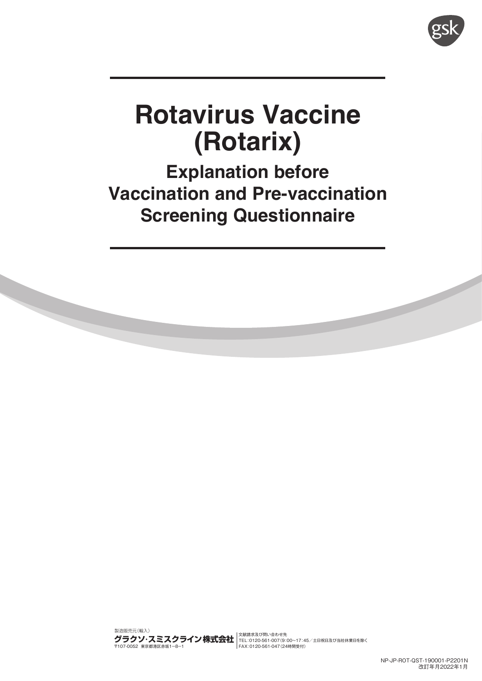

# **Rotavirus Vaccine (Rotarix)**

**Explanation before Vaccination and Pre-vaccination Screening Questionnaire**

製造販売元(輸入) 〒107-0052 東京都港区赤坂1-8-1 文献請求及び問い合わせ先 TEL:0120-561-007(9:00~17:45/土日祝日及び当社休業日を除く FAX:0120-561-047(24時間受付)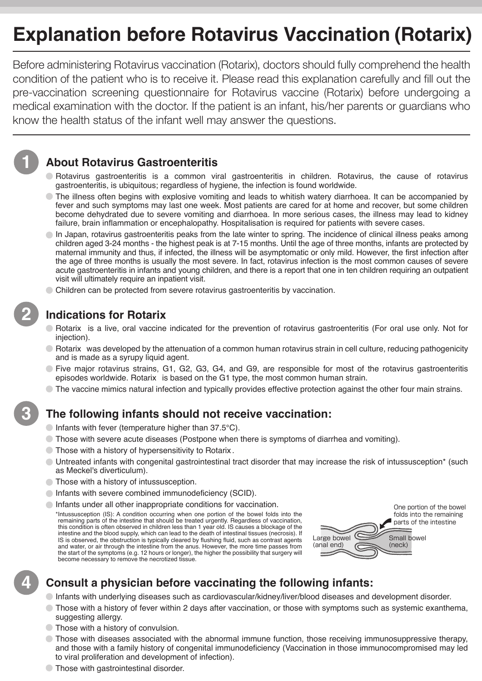# **Explanation before Rotavirus Vaccination (Rotarix)**

Before administering Rotavirus vaccination (Rotarix), doctors should fully comprehend the health condition of the patient who is to receive it. Please read this explanation carefully and fill out the pre-vaccination screening questionnaire for Rotavirus vaccine (Rotarix) before undergoing a medical examination with the doctor. If the patient is an infant, his/her parents or guardians who know the health status of the infant well may answer the questions.



#### **About Rotavirus Gastroenteritis**

- Rotavirus gastroenteritis is a common viral gastroenteritis in children. Rotavirus, the cause of rotavirus gastroenteritis, is ubiquitous; regardless of hygiene, the infection is found worldwide.
- The illness often begins with explosive vomiting and leads to whitish watery diarrhoea. It can be accompanied by fever and such symptoms may last one week. Most patients are cared for at home and recover, but some children become dehydrated due to severe vomiting and diarrhoea. In more serious cases, the illness may lead to kidney failure, brain inflammation or encephalopathy. Hospitalisation is required for patients with severe cases.
- In Japan, rotavirus gastroenteritis peaks from the late winter to spring. The incidence of clinical illness peaks among children aged 3-24 months - the highest peak is at 7-15 months. Until the age of three months, infants are protected by maternal immunity and thus, if infected, the illness will be asymptomatic or only mild. However, the first infection after the age of three months is usually the most severe. In fact, rotavirus infection is the most common causes of severe acute gastroenteritis in infants and young children, and there is a report that one in ten children requiring an outpatient visit will ultimately require an inpatient visit.
- C Children can be protected from severe rotavirus gastroenteritis by vaccination.



**3**

**4**

#### **Indications for Rotarix**

- Rotarix is a live, oral vaccine indicated for the prevention of rotavirus gastroenteritis (For oral use only. Not for injection).
- $\circ$  Rotarix was developed by the attenuation of a common human rotavirus strain in cell culture, reducing pathogenicity and is made as a syrupy liquid agent.
- Five major rotavirus strains, G1, G2, G3, G4, and G9, are responsible for most of the rotavirus gastroenteritis episodes worldwide. Rotarix is based on the G1 type, the most common human strain.
- $\circ$  The vaccine mimics natural infection and typically provides effective protection against the other four main strains.

#### **The following infants should not receive vaccination:**

- $\bullet$  Infants with fever (temperature higher than 37.5°C).
- Those with severe acute diseases (Postpone when there is symptoms of diarrhea and vomiting).
- Those with a history of hypersensitivity to Rotarix .
- Untreated infants with congenital gastrointestinal tract disorder that may increase the risk of intussusception\* (such as Meckel's diverticulum).
- Those with a history of intussusception.
- Infants with severe combined immunodeficiency (SCID).
- Infants under all other inappropriate conditions for vaccination. \*Intussusception (IS): A condition occurring when one portion of the bowel folds into the remaining parts of the intestine that should be treated urgently. Regardless of vaccination, this condition is often observed in children less than 1 year old. IS causes a blockage of the intestine and the blood supply, which can lead to the death of intestinal tissues (necrosis). If IS is observed, the obstruction is typically cleared by flushing fluid, such as contrast agents and water, or air through the intestine from the anus. However, the more time passes from the start of the symptoms (e.g. 12 hours or longer), the higher the possibility that surgery will become necessary to remove the necrotized tissue.



#### **Consult a physician before vaccinating the following infants:**

- Infants with underlying diseases such as cardiovascular/kidney/liver/blood diseases and development disorder.
- Those with a history of fever within 2 days after vaccination, or those with symptoms such as systemic exanthema, suggesting allergy.
- Those with a history of convulsion.
- Those with diseases associated with the abnormal immune function, those receiving immunosuppressive therapy, and those with a family history of congenital immunodeficiency (Vaccination in those immunocompromised may led to viral proliferation and development of infection).
- Those with gastrointestinal disorder.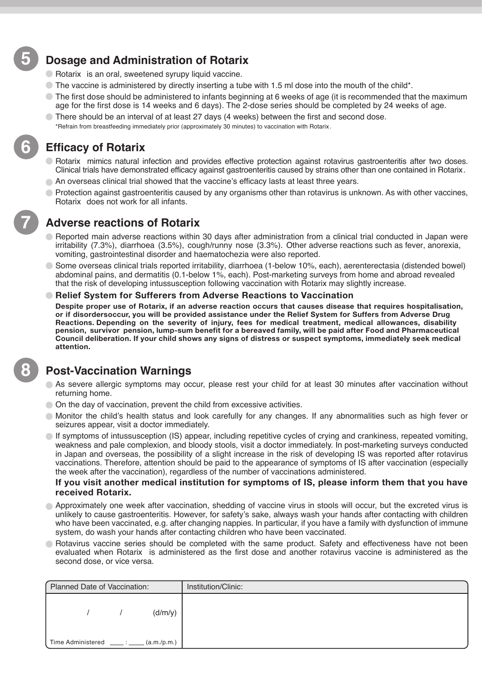#### **Dosage and Administration of Rotarix**

- Rotarix is an oral, sweetened syrupy liquid vaccine.
- $\degree$  The vaccine is administered by directly inserting a tube with 1.5 ml dose into the mouth of the child\*.
- $\degree$  The first dose should be administered to infants beginning at 6 weeks of age (it is recommended that the maximum age for the first dose is 14 weeks and 6 days). The 2-dose series should be completed by 24 weeks of age.
- There should be an interval of at least 27 days (4 weeks) between the first and second dose.
	- \*Refrain from breastfeeding immediately prior (approximately 30 minutes) to vaccination with Rotarix .

#### **Efficacy of Rotarix**

- Rotarix mimics natural infection and provides effective protection against rotavirus gastroenteritis after two doses. Clinical trials have demonstrated efficacy against gastroenteritis caused by strains other than one contained in Rotarix.
- An overseas clinical trial showed that the vaccine's efficacy lasts at least three years.
- Protection against gastroenteritis caused by any organisms other than rotavirus is unknown. As with other vaccines, Rotarix does not work for all infants.

#### **Adverse reactions of Rotarix**

- Reported main adverse reactions within 30 days after administration from a clinical trial conducted in Japan were irritability (7.3%), diarrhoea (3.5%), cough/runny nose (3.3%). Other adverse reactions such as fever, anorexia, vomiting, gastrointestinal disorder and haematochezia were also reported.
- Some overseas clinical trials reported irritability, diarrhoea (1-below 10%, each), aerenterectasia (distended bowel) abdominal pains, and dermatitis (0.1-below 1%, each). Post-marketing surveys from home and abroad revealed that the risk of developing intussusception following vaccination with Rotarix may slightly increase.
- **Relief System for Sufferers from Adverse Reactions to Vaccination**

**Despite proper use of Rotarix, if an adverse reaction occurs that causes disease that requires hospitalisation, or if disordersoccur, you will be provided assistance under the Relief System for Suffers from Adverse Drug Reactions. Depending on the severity of injury, fees for medical treatment, medical allowances, disability pension, survivor pension, lump-sum benefit for a bereaved family, will be paid after Food and Pharmaceutical Council deliberation. If your child shows any signs of distress or suspect symptoms, immediately seek medical attention.** 

#### **Post-Vaccination Warnings**

- As severe allergic symptoms may occur, please rest your child for at least 30 minutes after vaccination without returning home.
- On the day of vaccination, prevent the child from excessive activities.
- Monitor the child's health status and look carefully for any changes. If any abnormalities such as high fever or seizures appear, visit a doctor immediately.
- $\bigcirc$  If symptoms of intussusception (IS) appear, including repetitive cycles of crying and crankiness, repeated vomiting, weakness and pale complexion, and bloody stools, visit a doctor immediately. In post-marketing surveys conducted in Japan and overseas, the possibility of a slight increase in the risk of developing IS was reported after rotavirus vaccinations. Therefore, attention should be paid to the appearance of symptoms of IS after vaccination (especially the week after the vaccination), regardless of the number of vaccinations administered.

#### **If you visit another medical institution for symptoms of IS, please inform them that you have received Rotarix.**

- Approximately one week after vaccination, shedding of vaccine virus in stools will occur, but the excreted virus is unlikely to cause gastroenteritis. However, for safety's sake, always wash your hands after contacting with children who have been vaccinated, e.g. after changing nappies. In particular, if you have a family with dysfunction of immune system, do wash your hands after contacting children who have been vaccinated.
- Rotavirus vaccine series should be completed with the same product. Safety and effectiveness have not been  $\bullet$ evaluated when Rotarix is administered as the first dose and another rotavirus vaccine is administered as the second dose, or vice versa.

| Planned Date of Vaccination:                  | Institution/Clinic: |
|-----------------------------------------------|---------------------|
| (d/m/y)                                       |                     |
| Time Administered _____: _____<br>(a.m./p.m.) |                     |

**8**

**5**

**6**

**7**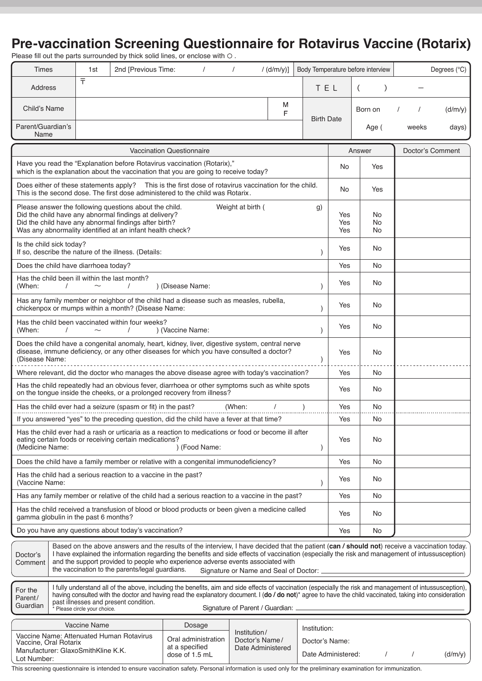### **Pre-vaccination Screening Questionnaire for Rotavirus Vaccine (Rotarix)**

Please fill out the parts surrounded by thick solid lines, or enclose with  $\circlearrowright$  .

| <b>Times</b>                                                                                                                                                                                                                                                                                                                                                                                                                                                                                             |                                                                                                                                                                                                               | 1st                 | 2nd [Previous Time:                                                                                                                                            |                  | $\prime$ |  | $\prime$ |     | /(d/m/y)]                                                                 |                               |                  | Body Temperature before interview |       | Degrees (°C) |
|----------------------------------------------------------------------------------------------------------------------------------------------------------------------------------------------------------------------------------------------------------------------------------------------------------------------------------------------------------------------------------------------------------------------------------------------------------------------------------------------------------|---------------------------------------------------------------------------------------------------------------------------------------------------------------------------------------------------------------|---------------------|----------------------------------------------------------------------------------------------------------------------------------------------------------------|------------------|----------|--|----------|-----|---------------------------------------------------------------------------|-------------------------------|------------------|-----------------------------------|-------|--------------|
| Address                                                                                                                                                                                                                                                                                                                                                                                                                                                                                                  |                                                                                                                                                                                                               | $\bar{\tau}$        |                                                                                                                                                                |                  |          |  |          |     |                                                                           | TEL                           |                  | $\overline{ }$                    |       |              |
| Child's Name                                                                                                                                                                                                                                                                                                                                                                                                                                                                                             |                                                                                                                                                                                                               |                     |                                                                                                                                                                |                  |          |  |          |     | M<br>F                                                                    |                               |                  | Born on                           |       | (d/m/y)      |
| Parent/Guardian's<br>Name                                                                                                                                                                                                                                                                                                                                                                                                                                                                                |                                                                                                                                                                                                               |                     |                                                                                                                                                                |                  |          |  |          |     |                                                                           | <b>Birth Date</b>             |                  | Age (                             | weeks | days)        |
| <b>Vaccination Questionnaire</b>                                                                                                                                                                                                                                                                                                                                                                                                                                                                         |                                                                                                                                                                                                               |                     |                                                                                                                                                                |                  |          |  |          |     | Answer                                                                    |                               | Doctor's Comment |                                   |       |              |
|                                                                                                                                                                                                                                                                                                                                                                                                                                                                                                          |                                                                                                                                                                                                               |                     | Have you read the "Explanation before Rotavirus vaccination (Rotarix),"<br>which is the explanation about the vaccination that you are going to receive today? |                  |          |  |          |     |                                                                           |                               | No               | Yes                               |       |              |
|                                                                                                                                                                                                                                                                                                                                                                                                                                                                                                          | Does either of these statements apply? This is the first dose of rotavirus vaccination for the child.<br>This is the second dose. The first dose administered to the child was Rotarix.                       |                     |                                                                                                                                                                |                  |          |  |          |     |                                                                           | <b>No</b>                     | Yes              |                                   |       |              |
| Please answer the following questions about the child.<br>Weight at birth (<br>g)<br>Did the child have any abnormal findings at delivery?<br>Did the child have any abnormal findings after birth?<br>Was any abnormality identified at an infant health check?                                                                                                                                                                                                                                         |                                                                                                                                                                                                               |                     |                                                                                                                                                                |                  |          |  |          |     | Yes<br>Yes<br>Yes                                                         | <b>No</b><br><b>No</b><br>No. |                  |                                   |       |              |
|                                                                                                                                                                                                                                                                                                                                                                                                                                                                                                          | Is the child sick today?<br>If so, describe the nature of the illness. (Details:                                                                                                                              |                     |                                                                                                                                                                |                  |          |  |          |     |                                                                           | Yes                           | No.              |                                   |       |              |
| Does the child have diarrhoea today?                                                                                                                                                                                                                                                                                                                                                                                                                                                                     |                                                                                                                                                                                                               |                     |                                                                                                                                                                |                  |          |  |          |     |                                                                           |                               | Yes              | <b>No</b>                         |       |              |
| (When:                                                                                                                                                                                                                                                                                                                                                                                                                                                                                                   | $\prime$                                                                                                                                                                                                      |                     | Has the child been ill within the last month?<br>$\prime$                                                                                                      | ) (Disease Name: |          |  |          |     |                                                                           | $\mathcal{E}$                 | Yes              | No.                               |       |              |
|                                                                                                                                                                                                                                                                                                                                                                                                                                                                                                          | Has any family member or neighbor of the child had a disease such as measles, rubella,<br>chickenpox or mumps within a month? (Disease Name:<br>$\lambda$                                                     |                     |                                                                                                                                                                |                  |          |  |          |     |                                                                           |                               | Yes              | No.                               |       |              |
| (When:                                                                                                                                                                                                                                                                                                                                                                                                                                                                                                   | Has the child been vaccinated within four weeks?<br>) (Vaccine Name:<br>$\mathcal{E}$                                                                                                                         |                     |                                                                                                                                                                |                  |          |  |          |     |                                                                           |                               | Yes              | No.                               |       |              |
|                                                                                                                                                                                                                                                                                                                                                                                                                                                                                                          | Does the child have a congenital anomaly, heart, kidney, liver, digestive system, central nerve<br>disease, immune deficiency, or any other diseases for which you have consulted a doctor?<br>(Disease Name: |                     |                                                                                                                                                                |                  |          |  |          |     |                                                                           | Yes                           | <b>No</b>        |                                   |       |              |
| Where relevant, did the doctor who manages the above disease agree with today's vaccination?                                                                                                                                                                                                                                                                                                                                                                                                             |                                                                                                                                                                                                               |                     |                                                                                                                                                                |                  |          |  |          |     |                                                                           | Yes                           | <b>No</b>        |                                   |       |              |
|                                                                                                                                                                                                                                                                                                                                                                                                                                                                                                          | Has the child repeatedly had an obvious fever, diarrhoea or other symptoms such as white spots<br>on the tongue inside the cheeks, or a prolonged recovery from illness?                                      |                     |                                                                                                                                                                |                  |          |  |          |     |                                                                           |                               | Yes              | No.                               |       |              |
|                                                                                                                                                                                                                                                                                                                                                                                                                                                                                                          |                                                                                                                                                                                                               |                     | Has the child ever had a seizure (spasm or fit) in the past?                                                                                                   |                  |          |  | (When:   |     |                                                                           |                               | Yes              | No                                |       |              |
| If you answered "yes" to the preceding question, did the child have a fever at that time?                                                                                                                                                                                                                                                                                                                                                                                                                |                                                                                                                                                                                                               |                     |                                                                                                                                                                |                  |          |  |          |     |                                                                           |                               | Yes              | No.                               |       |              |
| Has the child ever had a rash or urticaria as a reaction to medications or food or become ill after<br>eating certain foods or receiving certain medications?<br>(Medicine Name:<br>) (Food Name:                                                                                                                                                                                                                                                                                                        |                                                                                                                                                                                                               |                     |                                                                                                                                                                |                  |          |  |          |     | Yes                                                                       | No.                           |                  |                                   |       |              |
| Does the child have a family member or relative with a congenital immunodeficiency?                                                                                                                                                                                                                                                                                                                                                                                                                      |                                                                                                                                                                                                               |                     |                                                                                                                                                                |                  |          |  |          |     |                                                                           | Yes                           | No.              |                                   |       |              |
| Has the child had a serious reaction to a vaccine in the past?<br>(Vaccine Name:                                                                                                                                                                                                                                                                                                                                                                                                                         |                                                                                                                                                                                                               |                     |                                                                                                                                                                |                  |          |  |          |     |                                                                           | Yes                           | No.              |                                   |       |              |
|                                                                                                                                                                                                                                                                                                                                                                                                                                                                                                          | Has any family member or relative of the child had a serious reaction to a vaccine in the past?                                                                                                               |                     |                                                                                                                                                                |                  |          |  |          |     |                                                                           |                               | Yes              | <b>No</b>                         |       |              |
| Has the child received a transfusion of blood or blood products or been given a medicine called<br>gamma globulin in the past 6 months?                                                                                                                                                                                                                                                                                                                                                                  |                                                                                                                                                                                                               |                     |                                                                                                                                                                |                  |          |  |          | Yes | No.                                                                       |                               |                  |                                   |       |              |
| Do you have any questions about today's vaccination?                                                                                                                                                                                                                                                                                                                                                                                                                                                     |                                                                                                                                                                                                               |                     |                                                                                                                                                                |                  |          |  |          | Yes | No                                                                        |                               |                  |                                   |       |              |
| Based on the above answers and the results of the interview, I have decided that the patient (can / should not) receive a vaccination today.<br>I have explained the information regarding the benefits and side effects of vaccination (especially the risk and management of intussusception)<br>Doctor's<br>and the support provided to people who experience adverse events associated with<br>Comment<br>the vaccination to the parents/legal guardians.<br>Signature or Name and Seal of Doctor: _ |                                                                                                                                                                                                               |                     |                                                                                                                                                                |                  |          |  |          |     |                                                                           |                               |                  |                                   |       |              |
| I fully understand all of the above, including the benefits, aim and side effects of vaccination (especially the risk and management of intussusception),<br>For the<br>having consulted with the doctor and having read the explanatory document. I (do / do not)* agree to have the child vaccinated, taking into consideration<br>Parent/<br>past illnesses and present condition.<br>Guardian<br>Signature of Parent / Guardian:<br>* Please circle your choice.                                     |                                                                                                                                                                                                               |                     |                                                                                                                                                                |                  |          |  |          |     |                                                                           |                               |                  |                                   |       |              |
|                                                                                                                                                                                                                                                                                                                                                                                                                                                                                                          |                                                                                                                                                                                                               | <b>Vaccine Name</b> |                                                                                                                                                                |                  |          |  |          |     |                                                                           |                               |                  |                                   |       |              |
| Dosage<br>Institution:<br>Institution/<br>Vaccine Name: Attenuated Human Rotavirus<br>Oral administration<br>Doctor's Name/<br>Vaccine, Oral Rotarix<br>at a specified<br>Date Administered<br>Manufacturer: GlaxoSmithKline K.K.<br>dose of 1.5 mL<br>Lot Number:                                                                                                                                                                                                                                       |                                                                                                                                                                                                               |                     |                                                                                                                                                                |                  |          |  |          |     | Doctor's Name:<br>Date Administered:<br>$\sqrt{ }$<br>$\prime$<br>(d/m/y) |                               |                  |                                   |       |              |

This screening questionnaire is intended to ensure vaccination safety. Personal information is used only for the preliminary examination for immunization.